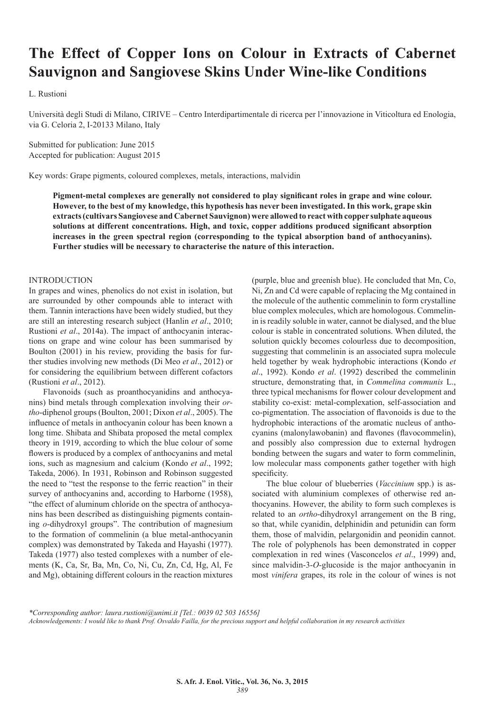# **The Effect of Copper Ions on Colour in Extracts of Cabernet Sauvignon and Sangiovese Skins Under Wine-like Conditions**

L. Rustioni

Università degli Studi di Milano, CIRIVE – Centro Interdipartimentale di ricerca per l'innovazione in Viticoltura ed Enologia, via G. Celoria 2, I-20133 Milano, Italy

Submitted for publication: June 2015 Accepted for publication: August 2015

Key words: Grape pigments, coloured complexes, metals, interactions, malvidin

**Pigment-metal complexes are generally not considered to play significant roles in grape and wine colour. However, to the best of my knowledge, this hypothesis has never been investigated. In this work, grape skin extracts (cultivars Sangiovese and Cabernet Sauvignon) were allowed to react with copper sulphate aqueous solutions at different concentrations. High, and toxic, copper additions produced significant absorption increases in the green spectral region (corresponding to the typical absorption band of anthocyanins). Further studies will be necessary to characterise the nature of this interaction.**

### INTRODUCTION

In grapes and wines, phenolics do not exist in isolation, but are surrounded by other compounds able to interact with them. Tannin interactions have been widely studied, but they are still an interesting research subject (Hanlin *et al*., 2010; Rustioni *et al*., 2014a). The impact of anthocyanin interactions on grape and wine colour has been summarised by Boulton (2001) in his review, providing the basis for further studies involving new methods (Di Meo *et al*., 2012) or for considering the equilibrium between different cofactors (Rustioni *et al*., 2012).

Flavonoids (such as proanthocyanidins and anthocyanins) bind metals through complexation involving their *ortho*-diphenol groups (Boulton, 2001; Dixon *et al*., 2005). The influence of metals in anthocyanin colour has been known a long time. Shibata and Shibata proposed the metal complex theory in 1919, according to which the blue colour of some flowers is produced by a complex of anthocyanins and metal ions, such as magnesium and calcium (Kondo *et al*., 1992; Takeda, 2006). In 1931, Robinson and Robinson suggested the need to "test the response to the ferric reaction" in their survey of anthocyanins and, according to Harborne (1958), "the effect of aluminum chloride on the spectra of anthocyanins has been described as distinguishing pigments containing *o*-dihydroxyl groups". The contribution of magnesium to the formation of commelinin (a blue metal-anthocyanin complex) was demonstrated by Takeda and Hayashi (1977). Takeda (1977) also tested complexes with a number of elements (K, Ca, Sr, Ba, Mn, Co, Ni, Cu, Zn, Cd, Hg, Al, Fe and Mg), obtaining different colours in the reaction mixtures

(purple, blue and greenish blue). He concluded that Mn, Co, Ni, Zn and Cd were capable of replacing the Mg contained in the molecule of the authentic commelinin to form crystalline blue complex molecules, which are homologous. Commelinin is readily soluble in water, cannot be dialysed, and the blue colour is stable in concentrated solutions. When diluted, the solution quickly becomes colourless due to decomposition, suggesting that commelinin is an associated supra molecule held together by weak hydrophobic interactions (Kondo *et al*., 1992). Kondo *et al*. (1992) described the commelinin structure, demonstrating that, in *Commelina communis* L., three typical mechanisms for flower colour development and stability co-exist: metal-complexation, self-association and co-pigmentation. The association of flavonoids is due to the hydrophobic interactions of the aromatic nucleus of anthocyanins (malonylawobanin) and flavones (flavocommelin), and possibly also compression due to external hydrogen bonding between the sugars and water to form commelinin, low molecular mass components gather together with high specificity.

The blue colour of blueberries (*Vaccinium* spp.) is associated with aluminium complexes of otherwise red anthocyanins. However, the ability to form such complexes is related to an *ortho*-dihydroxyl arrangement on the B ring, so that, while cyanidin, delphinidin and petunidin can form them, those of malvidin, pelargonidin and peonidin cannot. The role of polyphenols has been demonstrated in copper complexation in red wines (Vasconcelos *et al*., 1999) and, since malvidin-3-*O*-glucoside is the major anthocyanin in most *vinifera* grapes, its role in the colour of wines is not

*\*Corresponding author: laura.rustioni@unimi.it [Tel.: 0039 02 503 16556] Acknowledgements: I would like to thank Prof. Osvaldo Failla, for the precious support and helpful collaboration in my research activities*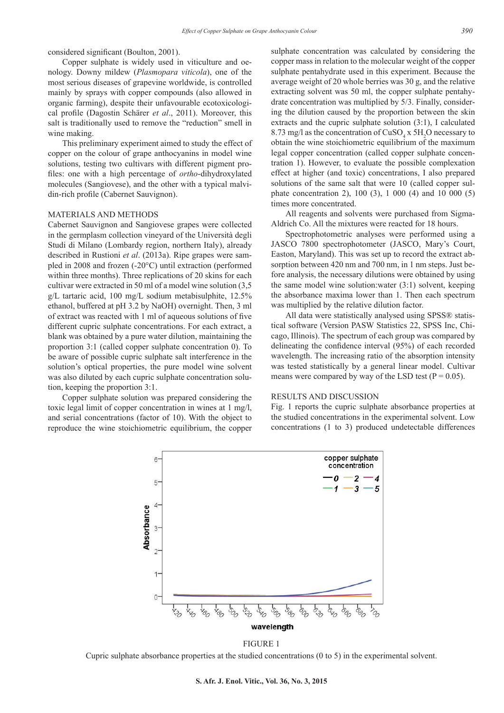considered significant (Boulton, 2001).

Copper sulphate is widely used in viticulture and oenology. Downy mildew (*Plasmopara viticola*), one of the most serious diseases of grapevine worldwide, is controlled mainly by sprays with copper compounds (also allowed in organic farming), despite their unfavourable ecotoxicological profile (Dagostin Schärer *et al*., 2011). Moreover, this salt is traditionally used to remove the "reduction" smell in wine making.

This preliminary experiment aimed to study the effect of copper on the colour of grape anthocyanins in model wine solutions, testing two cultivars with different pigment profiles: one with a high percentage of *ortho*-dihydroxylated molecules (Sangiovese), and the other with a typical malvidin-rich profile (Cabernet Sauvignon).

## MATERIALS AND METHODS

Cabernet Sauvignon and Sangiovese grapes were collected in the germplasm collection vineyard of the Università degli Studi di Milano (Lombardy region, northern Italy), already described in Rustioni *et al*. (2013a). Ripe grapes were sampled in 2008 and frozen (-20°C) until extraction (performed within three months). Three replications of 20 skins for each cultivar were extracted in 50 ml of a model wine solution (3,5 g/L tartaric acid, 100 mg/L sodium metabisulphite, 12.5% ethanol, buffered at pH 3.2 by NaOH) overnight. Then, 3 ml of extract was reacted with 1 ml of aqueous solutions of five different cupric sulphate concentrations. For each extract, a blank was obtained by a pure water dilution, maintaining the proportion 3:1 (called copper sulphate concentration 0). To be aware of possible cupric sulphate salt interference in the solution's optical properties, the pure model wine solvent was also diluted by each cupric sulphate concentration solution, keeping the proportion 3:1.

Copper sulphate solution was prepared considering the toxic legal limit of copper concentration in wines at 1 mg/l, and serial concentrations (factor of 10). With the object to reproduce the wine stoichiometric equilibrium, the copper sulphate concentration was calculated by considering the copper mass in relation to the molecular weight of the copper sulphate pentahydrate used in this experiment. Because the average weight of 20 whole berries was 30 g, and the relative extracting solvent was 50 ml, the copper sulphate pentahydrate concentration was multiplied by 5/3. Finally, considering the dilution caused by the proportion between the skin extracts and the cupric sulphate solution (3:1), I calculated 8.73 mg/l as the concentration of  $CuSO_4$  x 5H<sub>2</sub>O necessary to obtain the wine stoichiometric equilibrium of the maximum legal copper concentration (called copper sulphate concentration 1). However, to evaluate the possible complexation effect at higher (and toxic) concentrations, I also prepared solutions of the same salt that were 10 (called copper sulphate concentration 2), 100 (3), 1 000 (4) and 10 000 (5) times more concentrated.

All reagents and solvents were purchased from Sigma-Aldrich Co. All the mixtures were reacted for 18 hours.

Spectrophotometric analyses were performed using a JASCO 7800 spectrophotometer (JASCO, Mary's Court, Easton, Maryland). This was set up to record the extract absorption between 420 nm and 700 nm, in 1 nm steps. Just before analysis, the necessary dilutions were obtained by using the same model wine solution:water (3:1) solvent, keeping the absorbance maxima lower than 1. Then each spectrum was multiplied by the relative dilution factor.

All data were statistically analysed using SPSS® statistical software (Version PASW Statistics 22, SPSS Inc, Chicago, Illinois). The spectrum of each group was compared by delineating the confidence interval (95%) of each recorded wavelength. The increasing ratio of the absorption intensity was tested statistically by a general linear model. Cultivar means were compared by way of the LSD test ( $P = 0.05$ ).

### RESULTS AND DISCUSSION

Fig. 1 reports the cupric sulphate absorbance properties at the studied concentrations in the experimental solvent. Low concentrations (1 to 3) produced undetectable differences



FIGURE 1

Cupric sulphate absorbance properties at the studied concentrations (0 to 5) in the experimental solvent.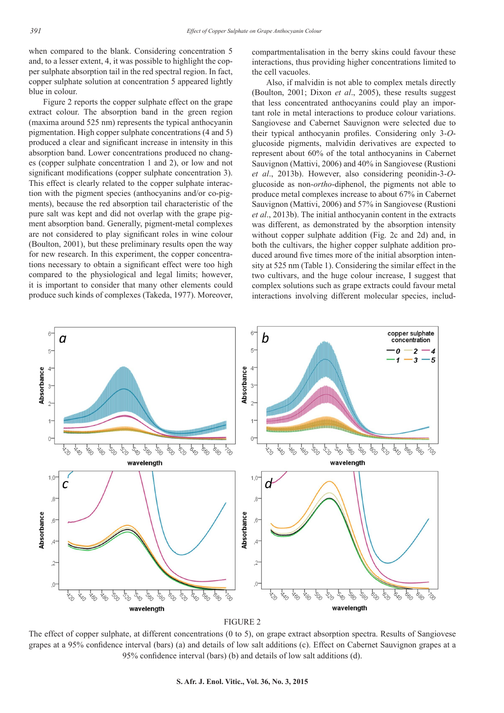when compared to the blank. Considering concentration 5 and, to a lesser extent, 4, it was possible to highlight the copper sulphate absorption tail in the red spectral region. In fact, copper sulphate solution at concentration 5 appeared lightly blue in colour.

Figure 2 reports the copper sulphate effect on the grape extract colour. The absorption band in the green region (maxima around 525 nm) represents the typical anthocyanin pigmentation. High copper sulphate concentrations (4 and 5) produced a clear and significant increase in intensity in this absorption band. Lower concentrations produced no changes (copper sulphate concentration 1 and 2), or low and not significant modifications (copper sulphate concentration 3). This effect is clearly related to the copper sulphate interaction with the pigment species (anthocyanins and/or co-pigments), because the red absorption tail characteristic of the pure salt was kept and did not overlap with the grape pigment absorption band. Generally, pigment-metal complexes are not considered to play significant roles in wine colour (Boulton, 2001), but these preliminary results open the way for new research. In this experiment, the copper concentrations necessary to obtain a significant effect were too high compared to the physiological and legal limits; however, it is important to consider that many other elements could produce such kinds of complexes (Takeda, 1977). Moreover,

compartmentalisation in the berry skins could favour these interactions, thus providing higher concentrations limited to the cell vacuoles.

Also, if malvidin is not able to complex metals directly (Boulton, 2001; Dixon *et al*., 2005), these results suggest that less concentrated anthocyanins could play an important role in metal interactions to produce colour variations. Sangiovese and Cabernet Sauvignon were selected due to their typical anthocyanin profiles. Considering only 3-*O*glucoside pigments, malvidin derivatives are expected to represent about 60% of the total anthocyanins in Cabernet Sauvignon (Mattivi, 2006) and 40% in Sangiovese (Rustioni *et al*., 2013b). However, also considering peonidin-3-*O*glucoside as non-*ortho*-diphenol, the pigments not able to produce metal complexes increase to about 67% in Cabernet Sauvignon (Mattivi, 2006) and 57% in Sangiovese (Rustioni *et al*., 2013b). The initial anthocyanin content in the extracts was different, as demonstrated by the absorption intensity without copper sulphate addition (Fig. 2c and 2d) and, in both the cultivars, the higher copper sulphate addition produced around five times more of the initial absorption intensity at 525 nm (Table 1). Considering the similar effect in the two cultivars, and the huge colour increase, I suggest that complex solutions such as grape extracts could favour metal interactions involving different molecular species, includ-





The effect of copper sulphate, at different concentrations (0 to 5), on grape extract absorption spectra. Results of Sangiovese grapes at a 95% confidence interval (bars) (a) and details of low salt additions (c). Effect on Cabernet Sauvignon grapes at a 95% confidence interval (bars) (b) and details of low salt additions (d).